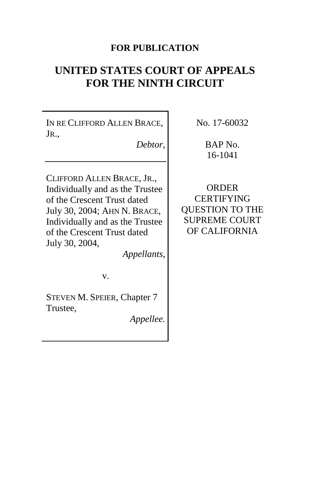# **FOR PUBLICATION**

# **UNITED STATES COURT OF APPEALS FOR THE NINTH CIRCUIT**

IN RE CLIFFORD ALLEN BRACE, JR.,

*Debtor*,

CLIFFORD ALLEN BRACE, JR., Individually and as the Trustee of the Crescent Trust dated July 30, 2004; AHN N. BRACE, Individually and as the Trustee of the Crescent Trust dated July 30, 2004,

*Appellants*,

v.

STEVEN M. SPEIER, Chapter 7 Trustee,

*Appellee.*

No. 17-60032

BAP No. 16-1041

**ORDER CERTIFYING** QUESTION TO THE SUPREME COURT OF CALIFORNIA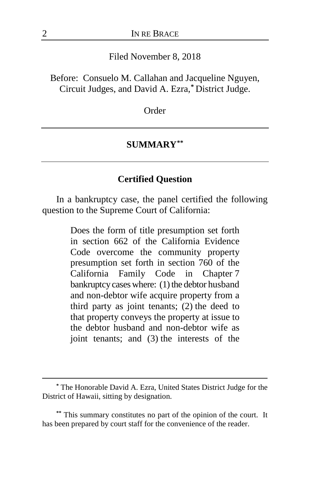#### Filed November 8, 2018

Before: Consuelo M. Callahan and Jacqueline Nguyen, Circuit Judges, and David A. Ezra,**[\\*](#page-1-0)** District Judge.

**Order** 

#### **SUMMARY[\\*\\*](#page-1-1)**

## **Certified Question**

In a bankruptcy case, the panel certified the following question to the Supreme Court of California:

> Does the form of title presumption set forth in section 662 of the California Evidence Code overcome the community property presumption set forth in section 760 of the California Family Code in Chapter 7 bankruptcy cases where: (1) the debtor husband and non-debtor wife acquire property from a third party as joint tenants; (2) the deed to that property conveys the property at issue to the debtor husband and non-debtor wife as joint tenants; and (3) the interests of the

<span id="page-1-0"></span>**<sup>\*</sup>** The Honorable David A. Ezra, United States District Judge for the District of Hawaii, sitting by designation.

<span id="page-1-1"></span>**<sup>\*\*</sup>** This summary constitutes no part of the opinion of the court. It has been prepared by court staff for the convenience of the reader.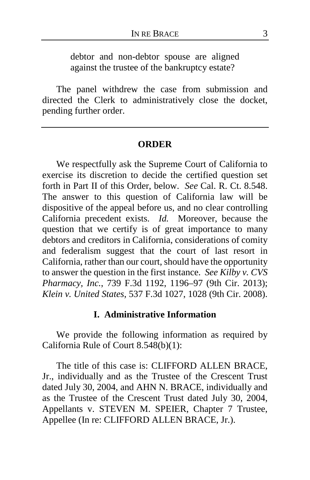debtor and non-debtor spouse are aligned against the trustee of the bankruptcy estate?

The panel withdrew the case from submission and directed the Clerk to administratively close the docket, pending further order.

#### **ORDER**

We respectfully ask the Supreme Court of California to exercise its discretion to decide the certified question set forth in Part II of this Order, below. *See* Cal. R. Ct. 8.548. The answer to this question of California law will be dispositive of the appeal before us, and no clear controlling California precedent exists. *Id.* Moreover, because the question that we certify is of great importance to many debtors and creditors in California, considerations of comity and federalism suggest that the court of last resort in California, rather than our court, should have the opportunity to answer the question in the first instance. *See Kilby v. CVS Pharmacy, Inc.*, 739 F.3d 1192, 1196–97 (9th Cir. 2013); *Klein v. United States*, 537 F.3d 1027, 1028 (9th Cir. 2008).

## **I. Administrative Information**

We provide the following information as required by California Rule of Court 8.548(b)(1):

The title of this case is: CLIFFORD ALLEN BRACE, Jr., individually and as the Trustee of the Crescent Trust dated July 30, 2004, and AHN N. BRACE, individually and as the Trustee of the Crescent Trust dated July 30, 2004, Appellants v. STEVEN M. SPEIER, Chapter 7 Trustee, Appellee (In re: CLIFFORD ALLEN BRACE, Jr.).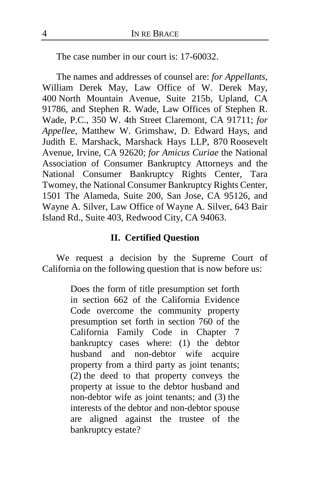The case number in our court is: 17-60032.

The names and addresses of counsel are: *for Appellants*, William Derek May, Law Office of W. Derek May, 400 North Mountain Avenue, Suite 215b, Upland, CA 91786, and Stephen R. Wade, Law Offices of Stephen R. Wade, P.C., 350 W. 4th Street Claremont, CA 91711; *for Appellee*, Matthew W. Grimshaw, D. Edward Hays, and Judith E. Marshack, Marshack Hays LLP, 870 Roosevelt Avenue, Irvine, CA 92620; *for Amicus Curiae* the National Association of Consumer Bankruptcy Attorneys and the National Consumer Bankruptcy Rights Center, Tara Twomey, the National Consumer Bankruptcy Rights Center, 1501 The Alameda, Suite 200, San Jose, CA 95126, and Wayne A. Silver, Law Office of Wayne A. Silver, 643 Bair Island Rd., Suite 403, Redwood City, CA 94063.

# **II. Certified Question**

We request a decision by the Supreme Court of California on the following question that is now before us:

> Does the form of title presumption set forth in section 662 of the California Evidence Code overcome the community property presumption set forth in section 760 of the California Family Code in Chapter 7 bankruptcy cases where: (1) the debtor husband and non-debtor wife acquire property from a third party as joint tenants; (2) the deed to that property conveys the property at issue to the debtor husband and non-debtor wife as joint tenants; and (3) the interests of the debtor and non-debtor spouse are aligned against the trustee of the bankruptcy estate?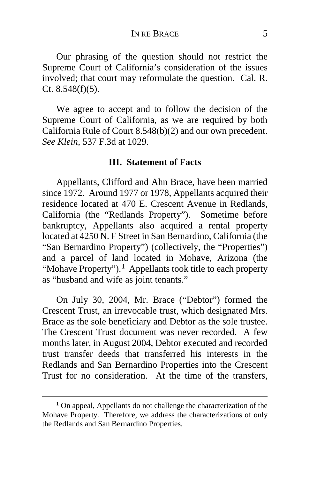Our phrasing of the question should not restrict the Supreme Court of California's consideration of the issues involved; that court may reformulate the question. Cal. R. Ct. 8.548(f)(5).

We agree to accept and to follow the decision of the Supreme Court of California, as we are required by both California Rule of Court 8.548(b)(2) and our own precedent. *See Klein*, 537 F.3d at 1029.

### **III. Statement of Facts**

Appellants, Clifford and Ahn Brace, have been married since 1972. Around 1977 or 1978, Appellants acquired their residence located at 470 E. Crescent Avenue in Redlands, California (the "Redlands Property"). Sometime before bankruptcy, Appellants also acquired a rental property located at 4250 N. F Street in San Bernardino, California (the "San Bernardino Property") (collectively, the "Properties") and a parcel of land located in Mohave, Arizona (the "Mohave Property").**[1](#page-4-0)** Appellants took title to each property as "husband and wife as joint tenants."

On July 30, 2004, Mr. Brace ("Debtor") formed the Crescent Trust, an irrevocable trust, which designated Mrs. Brace as the sole beneficiary and Debtor as the sole trustee. The Crescent Trust document was never recorded. A few months later, in August 2004, Debtor executed and recorded trust transfer deeds that transferred his interests in the Redlands and San Bernardino Properties into the Crescent Trust for no consideration. At the time of the transfers,

<span id="page-4-0"></span>**<sup>1</sup>** On appeal, Appellants do not challenge the characterization of the Mohave Property. Therefore, we address the characterizations of only the Redlands and San Bernardino Properties.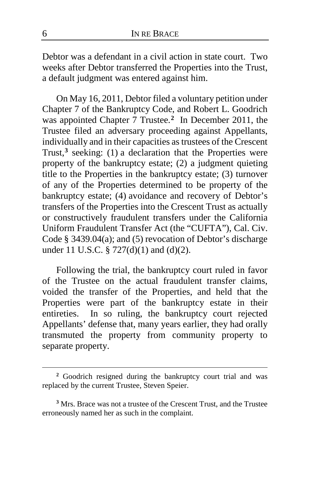Debtor was a defendant in a civil action in state court. Two weeks after Debtor transferred the Properties into the Trust, a default judgment was entered against him.

On May 16, 2011, Debtor filed a voluntary petition under Chapter 7 of the Bankruptcy Code, and Robert L. Goodrich was appointed Chapter 7 Trustee.**[2](#page-5-0)** In December 2011, the Trustee filed an adversary proceeding against Appellants, individually and in their capacities as trustees of the Crescent Trust,<sup>[3](#page-5-1)</sup> seeking: (1) a declaration that the Properties were property of the bankruptcy estate; (2) a judgment quieting title to the Properties in the bankruptcy estate; (3) turnover of any of the Properties determined to be property of the bankruptcy estate; (4) avoidance and recovery of Debtor's transfers of the Properties into the Crescent Trust as actually or constructively fraudulent transfers under the California Uniform Fraudulent Transfer Act (the "CUFTA"), Cal. Civ. Code § 3439.04(a); and (5) revocation of Debtor's discharge under 11 U.S.C. § 727(d)(1) and (d)(2).

Following the trial, the bankruptcy court ruled in favor of the Trustee on the actual fraudulent transfer claims, voided the transfer of the Properties, and held that the Properties were part of the bankruptcy estate in their entireties. In so ruling, the bankruptcy court rejected Appellants' defense that, many years earlier, they had orally transmuted the property from community property to separate property.

<span id="page-5-0"></span>**<sup>2</sup>** Goodrich resigned during the bankruptcy court trial and was replaced by the current Trustee, Steven Speier.

<span id="page-5-1"></span>**<sup>3</sup>** Mrs. Brace was not a trustee of the Crescent Trust, and the Trustee erroneously named her as such in the complaint.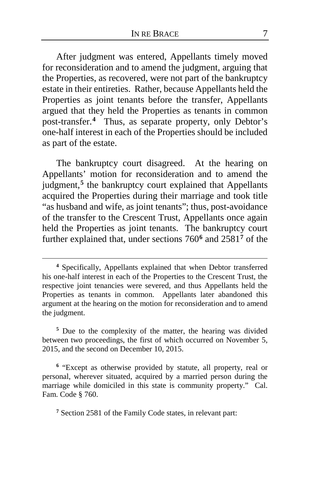After judgment was entered, Appellants timely moved for reconsideration and to amend the judgment, arguing that the Properties, as recovered, were not part of the bankruptcy estate in their entireties. Rather, because Appellants held the Properties as joint tenants before the transfer, Appellants argued that they held the Properties as tenants in common post-transfer.**[4](#page-6-0)** Thus, as separate property, only Debtor's one-half interest in each of the Properties should be included as part of the estate.

The bankruptcy court disagreed. At the hearing on Appellants' motion for reconsideration and to amend the judgment,**[5](#page-6-1)** the bankruptcy court explained that Appellants acquired the Properties during their marriage and took title "as husband and wife, as joint tenants"; thus, post-avoidance of the transfer to the Crescent Trust, Appellants once again held the Properties as joint tenants. The bankruptcy court further explained that, under sections 760**[6](#page-6-2)** and 2581**[7](#page-6-3)** of the

 $\overline{a}$ 

<span id="page-6-1"></span>**<sup>5</sup>** Due to the complexity of the matter, the hearing was divided between two proceedings, the first of which occurred on November 5, 2015, and the second on December 10, 2015.

<span id="page-6-2"></span>**<sup>6</sup>** "Except as otherwise provided by statute, all property, real or personal, wherever situated, acquired by a married person during the marriage while domiciled in this state is community property." Cal. Fam. Code § 760.

<span id="page-6-3"></span>**<sup>7</sup>** Section 2581 of the Family Code states, in relevant part:

<span id="page-6-0"></span>**<sup>4</sup>** Specifically, Appellants explained that when Debtor transferred his one-half interest in each of the Properties to the Crescent Trust, the respective joint tenancies were severed, and thus Appellants held the Properties as tenants in common. Appellants later abandoned this argument at the hearing on the motion for reconsideration and to amend the judgment.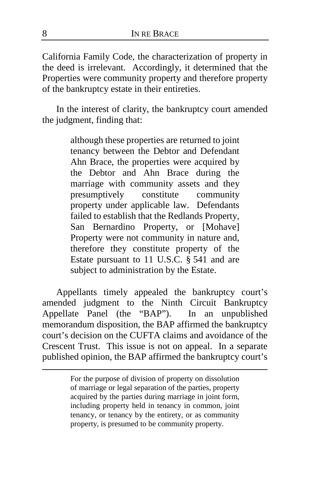California Family Code, the characterization of property in the deed is irrelevant. Accordingly, it determined that the Properties were community property and therefore property of the bankruptcy estate in their entireties.

In the interest of clarity, the bankruptcy court amended the judgment, finding that:

> although these properties are returned to joint tenancy between the Debtor and Defendant Ahn Brace, the properties were acquired by the Debtor and Ahn Brace during the marriage with community assets and they presumptively constitute community property under applicable law. Defendants failed to establish that the Redlands Property, San Bernardino Property, or [Mohave] Property were not community in nature and, therefore they constitute property of the Estate pursuant to 11 U.S.C. § 541 and are subject to administration by the Estate.

Appellants timely appealed the bankruptcy court's amended judgment to the Ninth Circuit Bankruptcy<br>Appellate Panel (the "BAP"). In an unpublished Appellate Panel (the "BAP"). memorandum disposition, the BAP affirmed the bankruptcy court's decision on the CUFTA claims and avoidance of the Crescent Trust. This issue is not on appeal. In a separate published opinion, the BAP affirmed the bankruptcy court's

> For the purpose of division of property on dissolution of marriage or legal separation of the parties, property acquired by the parties during marriage in joint form, including property held in tenancy in common, joint tenancy, or tenancy by the entirety, or as community property, is presumed to be community property.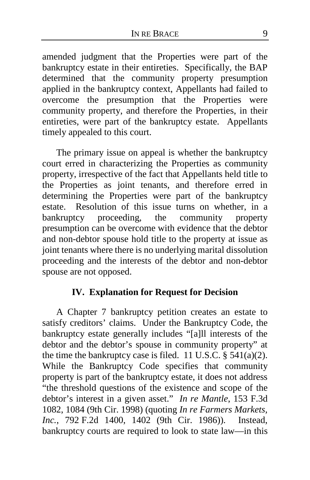amended judgment that the Properties were part of the bankruptcy estate in their entireties. Specifically, the BAP determined that the community property presumption applied in the bankruptcy context, Appellants had failed to overcome the presumption that the Properties were community property, and therefore the Properties, in their entireties, were part of the bankruptcy estate. Appellants timely appealed to this court.

The primary issue on appeal is whether the bankruptcy court erred in characterizing the Properties as community property, irrespective of the fact that Appellants held title to the Properties as joint tenants, and therefore erred in determining the Properties were part of the bankruptcy estate. Resolution of this issue turns on whether, in a bankruptcy proceeding, the community property presumption can be overcome with evidence that the debtor and non-debtor spouse hold title to the property at issue as joint tenants where there is no underlying marital dissolution proceeding and the interests of the debtor and non-debtor spouse are not opposed.

# **IV. Explanation for Request for Decision**

A Chapter 7 bankruptcy petition creates an estate to satisfy creditors' claims. Under the Bankruptcy Code, the bankruptcy estate generally includes "[a]ll interests of the debtor and the debtor's spouse in community property" at the time the bankruptcy case is filed. 11 U.S.C.  $\S$  541(a)(2). While the Bankruptcy Code specifies that community property is part of the bankruptcy estate, it does not address "the threshold questions of the existence and scope of the debtor's interest in a given asset." *In re Mantle*, 153 F.3d 1082, 1084 (9th Cir. 1998) (quoting *In re Farmers Markets, Inc.*, 792 F.2d 1400, 1402 (9th Cir. 1986)). Instead, bankruptcy courts are required to look to state law—in this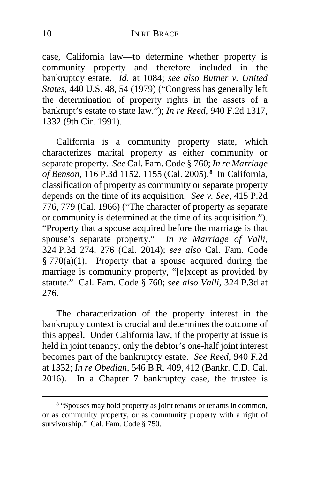case, California law—to determine whether property is community property and therefore included in the bankruptcy estate. *Id.* at 1084; *see also Butner v. United States*, 440 U.S. 48, 54 (1979) ("Congress has generally left the determination of property rights in the assets of a bankrupt's estate to state law."); *In re Reed*, 940 F.2d 1317, 1332 (9th Cir. 1991).

California is a community property state, which characterizes marital property as either community or separate property. *See* Cal. Fam. Code § 760; *In re Marriage of Benson*, 116 P.3d 1152, 1155 (Cal. 2005).**[8](#page-9-0)** In California, classification of property as community or separate property depends on the time of its acquisition. *See v. See*, 415 P.2d 776, 779 (Cal. 1966) ("The character of property as separate or community is determined at the time of its acquisition."). "Property that a spouse acquired before the marriage is that spouse's separate property." *In re Marriage of Valli*, 324 P.3d 274, 276 (Cal. 2014); *see also* Cal. Fam. Code  $§ 770(a)(1)$ . Property that a spouse acquired during the marriage is community property, "[e]xcept as provided by statute." Cal. Fam. Code § 760; *see also Valli*, 324 P.3d at 276.

The characterization of the property interest in the bankruptcy context is crucial and determines the outcome of this appeal. Under California law, if the property at issue is held in joint tenancy, only the debtor's one-half joint interest becomes part of the bankruptcy estate. *See Reed*, 940 F.2d at 1332; *In re Obedian*, 546 B.R. 409, 412 (Bankr. C.D. Cal. 2016). In a Chapter 7 bankruptcy case, the trustee is

<span id="page-9-0"></span>**<sup>8</sup>** "Spouses may hold property as joint tenants or tenants in common, or as community property, or as community property with a right of survivorship." Cal. Fam. Code § 750.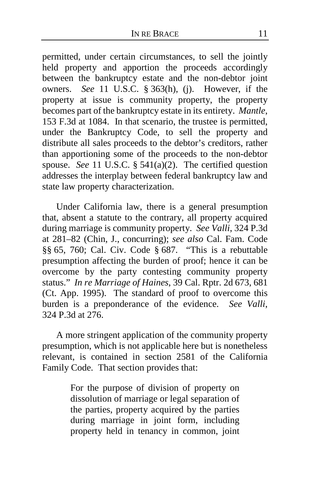permitted, under certain circumstances, to sell the jointly held property and apportion the proceeds accordingly between the bankruptcy estate and the non-debtor joint owners. *See* 11 U.S.C. § 363(h), (j). However, if the property at issue is community property, the property becomes part of the bankruptcy estate in its entirety. *Mantle*, 153 F.3d at 1084. In that scenario, the trustee is permitted, under the Bankruptcy Code, to sell the property and distribute all sales proceeds to the debtor's creditors, rather than apportioning some of the proceeds to the non-debtor spouse. *See* 11 U.S.C. § 541(a)(2). The certified question addresses the interplay between federal bankruptcy law and state law property characterization.

Under California law, there is a general presumption that, absent a statute to the contrary, all property acquired during marriage is community property. *See Valli*, 324 P.3d at 281–82 (Chin, J., concurring); *see also* Cal. Fam. Code §§ 65, 760; Cal. Civ. Code § 687. "This is a rebuttable presumption affecting the burden of proof; hence it can be overcome by the party contesting community property status." *In re Marriage of Haines*, 39 Cal. Rptr. 2d 673, 681 (Ct. App. 1995). The standard of proof to overcome this burden is a preponderance of the evidence. *See Valli*, 324 P.3d at 276.

A more stringent application of the community property presumption, which is not applicable here but is nonetheless relevant, is contained in section 2581 of the California Family Code. That section provides that:

> For the purpose of division of property on dissolution of marriage or legal separation of the parties, property acquired by the parties during marriage in joint form, including property held in tenancy in common, joint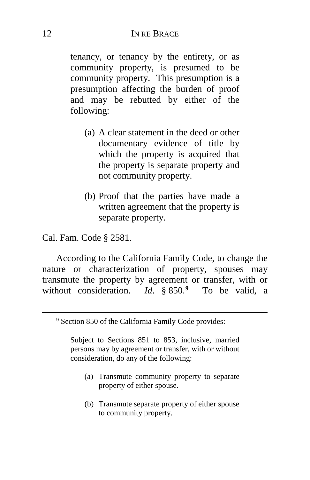tenancy, or tenancy by the entirety, or as community property, is presumed to be community property. This presumption is a presumption affecting the burden of proof and may be rebutted by either of the following:

- (a) A clear statement in the deed or other documentary evidence of title by which the property is acquired that the property is separate property and not community property.
- (b) Proof that the parties have made a written agreement that the property is separate property.

Cal. Fam. Code § 2581.

<span id="page-11-0"></span> $\overline{a}$ 

According to the California Family Code, to change the nature or characterization of property, spouses may transmute the property by agreement or transfer, with or without consideration. *Id*. § 850.**[9](#page-11-0)** To be valid, a

Subject to Sections 851 to 853, inclusive, married persons may by agreement or transfer, with or without consideration, do any of the following:

- (a) Transmute community property to separate property of either spouse.
- (b) Transmute separate property of either spouse to community property.

**<sup>9</sup>** Section 850 of the California Family Code provides: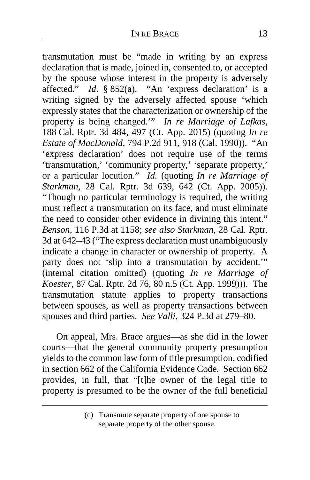transmutation must be "made in writing by an express declaration that is made, joined in, consented to, or accepted by the spouse whose interest in the property is adversely affected." *Id*. § 852(a). "An 'express declaration' is a writing signed by the adversely affected spouse 'which expressly states that the characterization or ownership of the property is being changed.'" *In re Marriage of Lafkas*, 188 Cal. Rptr. 3d 484, 497 (Ct. App. 2015) (quoting *In re Estate of MacDonald*, 794 P.2d 911, 918 (Cal. 1990)). "An 'express declaration' does not require use of the terms 'transmutation,' 'community property,' 'separate property,' or a particular locution." *Id.* (quoting *In re Marriage of Starkman*, 28 Cal. Rptr. 3d 639, 642 (Ct. App. 2005)). "Though no particular terminology is required, the writing must reflect a transmutation on its face, and must eliminate the need to consider other evidence in divining this intent." *Benson*, 116 P.3d at 1158; *see also Starkman*, 28 Cal. Rptr. 3d at 642–43 ("The express declaration must unambiguously indicate a change in character or ownership of property. A party does not 'slip into a transmutation by accident.'" (internal citation omitted) (quoting *In re Marriage of Koester*, 87 Cal. Rptr. 2d 76, 80 n.5 (Ct. App. 1999))). The transmutation statute applies to property transactions between spouses, as well as property transactions between spouses and third parties. *See Valli*, 324 P.3d at 279–80.

On appeal, Mrs. Brace argues—as she did in the lower courts—that the general community property presumption yields to the common law form of title presumption, codified in section 662 of the California Evidence Code. Section 662 provides, in full, that "[t]he owner of the legal title to property is presumed to be the owner of the full beneficial

<sup>(</sup>c) Transmute separate property of one spouse to separate property of the other spouse.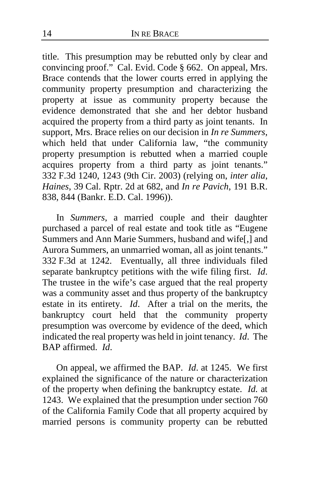title. This presumption may be rebutted only by clear and convincing proof." Cal. Evid. Code § 662. On appeal, Mrs. Brace contends that the lower courts erred in applying the community property presumption and characterizing the property at issue as community property because the evidence demonstrated that she and her debtor husband acquired the property from a third party as joint tenants. In support, Mrs. Brace relies on our decision in *In re Summers*, which held that under California law, "the community property presumption is rebutted when a married couple acquires property from a third party as joint tenants." 332 F.3d 1240, 1243 (9th Cir. 2003) (relying on, *inter alia*, *Haines*, 39 Cal. Rptr. 2d at 682, and *In re Pavich*, 191 B.R. 838, 844 (Bankr. E.D. Cal. 1996)).

In *Summers*, a married couple and their daughter purchased a parcel of real estate and took title as "Eugene Summers and Ann Marie Summers, husband and wife[,] and Aurora Summers, an unmarried woman, all as joint tenants." 332 F.3d at 1242. Eventually, all three individuals filed separate bankruptcy petitions with the wife filing first. *Id*. The trustee in the wife's case argued that the real property was a community asset and thus property of the bankruptcy estate in its entirety. *Id*. After a trial on the merits, the bankruptcy court held that the community property presumption was overcome by evidence of the deed, which indicated the real property was held in joint tenancy. *Id*. The BAP affirmed. *Id*.

On appeal, we affirmed the BAP. *Id*. at 1245. We first explained the significance of the nature or characterization of the property when defining the bankruptcy estate. *Id.* at 1243. We explained that the presumption under section 760 of the California Family Code that all property acquired by married persons is community property can be rebutted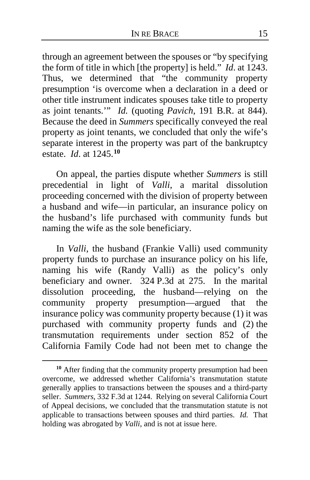through an agreement between the spouses or "by specifying the form of title in which [the property] is held." *Id*. at 1243. Thus, we determined that "the community property presumption 'is overcome when a declaration in a deed or other title instrument indicates spouses take title to property as joint tenants.'" *Id.* (quoting *Pavich*, 191 B.R. at 844). Because the deed in *Summers* specifically conveyed the real property as joint tenants, we concluded that only the wife's separate interest in the property was part of the bankruptcy estate. *Id*. at 1245.**[10](#page-14-0)**

On appeal, the parties dispute whether *Summers* is still precedential in light of *Valli*, a marital dissolution proceeding concerned with the division of property between a husband and wife—in particular, an insurance policy on the husband's life purchased with community funds but naming the wife as the sole beneficiary.

In *Valli*, the husband (Frankie Valli) used community property funds to purchase an insurance policy on his life, naming his wife (Randy Valli) as the policy's only beneficiary and owner. 324 P.3d at 275. In the marital dissolution proceeding, the husband—relying on the community property presumption—argued that the insurance policy was community property because (1) it was purchased with community property funds and (2) the transmutation requirements under section 852 of the California Family Code had not been met to change the

<span id="page-14-0"></span>**<sup>10</sup>** After finding that the community property presumption had been overcome, we addressed whether California's transmutation statute generally applies to transactions between the spouses and a third-party seller. *Summers*, 332 F.3d at 1244. Relying on several California Court of Appeal decisions, we concluded that the transmutation statute is not applicable to transactions between spouses and third parties. *Id.* That holding was abrogated by *Valli*, and is not at issue here.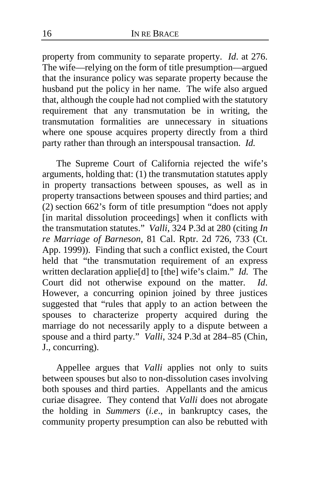property from community to separate property. *Id*. at 276. The wife—relying on the form of title presumption—argued that the insurance policy was separate property because the husband put the policy in her name. The wife also argued that, although the couple had not complied with the statutory requirement that any transmutation be in writing, the transmutation formalities are unnecessary in situations where one spouse acquires property directly from a third party rather than through an interspousal transaction. *Id.*

The Supreme Court of California rejected the wife's arguments, holding that: (1) the transmutation statutes apply in property transactions between spouses, as well as in property transactions between spouses and third parties; and (2) section 662's form of title presumption "does not apply [in marital dissolution proceedings] when it conflicts with the transmutation statutes." *Valli*, 324 P.3d at 280 (citing *In re Marriage of Barneson*, 81 Cal. Rptr. 2d 726, 733 (Ct. App. 1999)). Finding that such a conflict existed, the Court held that "the transmutation requirement of an express written declaration applie[d] to [the] wife's claim." *Id.* The Court did not otherwise expound on the matter. *Id*. However, a concurring opinion joined by three justices suggested that "rules that apply to an action between the spouses to characterize property acquired during the marriage do not necessarily apply to a dispute between a spouse and a third party." *Valli*, 324 P.3d at 284–85 (Chin, J., concurring).

Appellee argues that *Valli* applies not only to suits between spouses but also to non-dissolution cases involving both spouses and third parties. Appellants and the amicus curiae disagree. They contend that *Valli* does not abrogate the holding in *Summers* (*i.e*., in bankruptcy cases, the community property presumption can also be rebutted with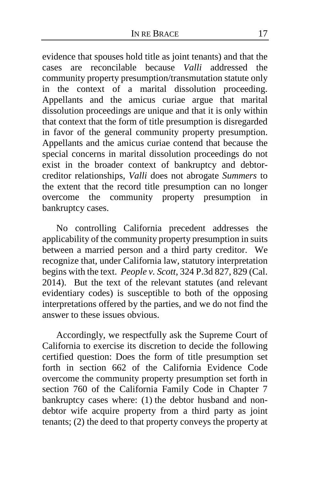evidence that spouses hold title as joint tenants) and that the cases are reconcilable because *Valli* addressed the community property presumption/transmutation statute only in the context of a marital dissolution proceeding. Appellants and the amicus curiae argue that marital dissolution proceedings are unique and that it is only within that context that the form of title presumption is disregarded in favor of the general community property presumption. Appellants and the amicus curiae contend that because the special concerns in marital dissolution proceedings do not exist in the broader context of bankruptcy and debtorcreditor relationships, *Valli* does not abrogate *Summers* to the extent that the record title presumption can no longer overcome the community property presumption in bankruptcy cases.

No controlling California precedent addresses the applicability of the community property presumption in suits between a married person and a third party creditor. We recognize that, under California law, statutory interpretation begins with the text. *People v. Scott*, 324 P.3d 827, 829 (Cal. 2014). But the text of the relevant statutes (and relevant evidentiary codes) is susceptible to both of the opposing interpretations offered by the parties, and we do not find the answer to these issues obvious.

Accordingly, we respectfully ask the Supreme Court of California to exercise its discretion to decide the following certified question: Does the form of title presumption set forth in section 662 of the California Evidence Code overcome the community property presumption set forth in section 760 of the California Family Code in Chapter 7 bankruptcy cases where: (1) the debtor husband and nondebtor wife acquire property from a third party as joint tenants; (2) the deed to that property conveys the property at